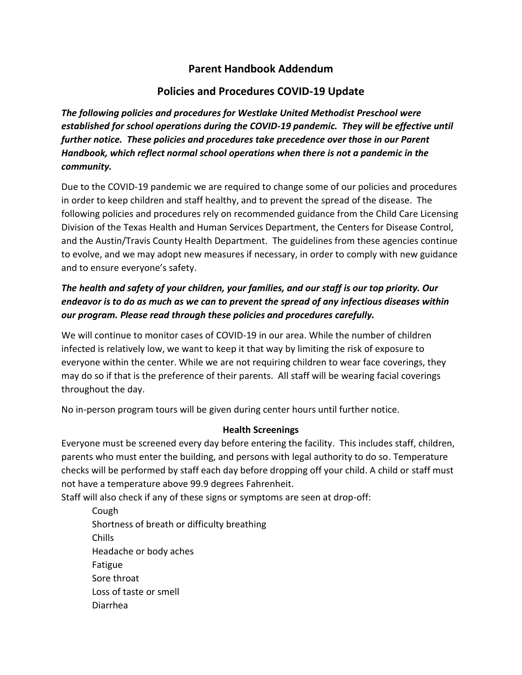# **Parent Handbook Addendum**

# **Policies and Procedures COVID-19 Update**

*The following policies and procedures for Westlake United Methodist Preschool were established for school operations during the COVID-19 pandemic. They will be effective until further notice. These policies and procedures take precedence over those in our Parent Handbook, which reflect normal school operations when there is not a pandemic in the community.*

Due to the COVID-19 pandemic we are required to change some of our policies and procedures in order to keep children and staff healthy, and to prevent the spread of the disease. The following policies and procedures rely on recommended guidance from the Child Care Licensing Division of the Texas Health and Human Services Department, the Centers for Disease Control, and the Austin/Travis County Health Department. The guidelines from these agencies continue to evolve, and we may adopt new measures if necessary, in order to comply with new guidance and to ensure everyone's safety.

# *The health and safety of your children, your families, and our staff is our top priority. Our endeavor is to do as much as we can to prevent the spread of any infectious diseases within our program. Please read through these policies and procedures carefully.*

We will continue to monitor cases of COVID-19 in our area. While the number of children infected is relatively low, we want to keep it that way by limiting the risk of exposure to everyone within the center. While we are not requiring children to wear face coverings, they may do so if that is the preference of their parents. All staff will be wearing facial coverings throughout the day.

No in-person program tours will be given during center hours until further notice.

### **Health Screenings**

Everyone must be screened every day before entering the facility. This includes staff, children, parents who must enter the building, and persons with legal authority to do so. Temperature checks will be performed by staff each day before dropping off your child. A child or staff must not have a temperature above 99.9 degrees Fahrenheit.

Staff will also check if any of these signs or symptoms are seen at drop-off:

Cough Shortness of breath or difficulty breathing Chills Headache or body aches Fatigue Sore throat Loss of taste or smell Diarrhea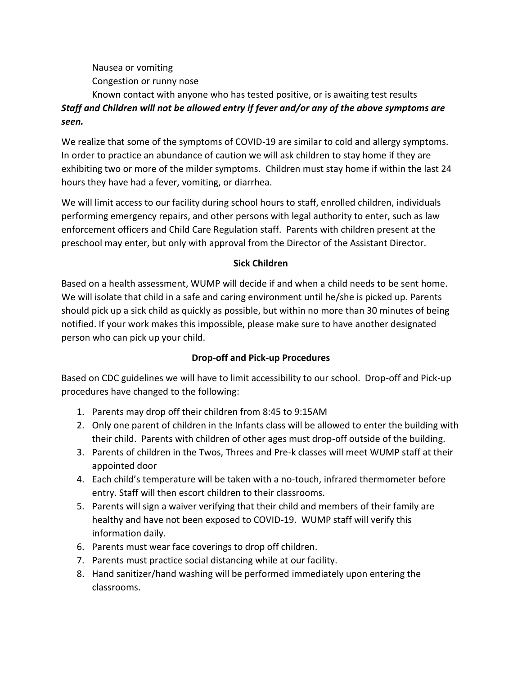Nausea or vomiting

Congestion or runny nose

### Known contact with anyone who has tested positive, or is awaiting test results *Staff and Children will not be allowed entry if fever and/or any of the above symptoms are seen.*

We realize that some of the symptoms of COVID-19 are similar to cold and allergy symptoms. In order to practice an abundance of caution we will ask children to stay home if they are exhibiting two or more of the milder symptoms. Children must stay home if within the last 24 hours they have had a fever, vomiting, or diarrhea.

We will limit access to our facility during school hours to staff, enrolled children, individuals performing emergency repairs, and other persons with legal authority to enter, such as law enforcement officers and Child Care Regulation staff. Parents with children present at the preschool may enter, but only with approval from the Director of the Assistant Director.

## **Sick Children**

Based on a health assessment, WUMP will decide if and when a child needs to be sent home. We will isolate that child in a safe and caring environment until he/she is picked up. Parents should pick up a sick child as quickly as possible, but within no more than 30 minutes of being notified. If your work makes this impossible, please make sure to have another designated person who can pick up your child.

## **Drop-off and Pick-up Procedures**

Based on CDC guidelines we will have to limit accessibility to our school. Drop-off and Pick-up procedures have changed to the following:

- 1. Parents may drop off their children from 8:45 to 9:15AM
- 2. Only one parent of children in the Infants class will be allowed to enter the building with their child. Parents with children of other ages must drop-off outside of the building.
- 3. Parents of children in the Twos, Threes and Pre-k classes will meet WUMP staff at their appointed door
- 4. Each child's temperature will be taken with a no-touch, infrared thermometer before entry. Staff will then escort children to their classrooms.
- 5. Parents will sign a waiver verifying that their child and members of their family are healthy and have not been exposed to COVID-19. WUMP staff will verify this information daily.
- 6. Parents must wear face coverings to drop off children.
- 7. Parents must practice social distancing while at our facility.
- 8. Hand sanitizer/hand washing will be performed immediately upon entering the classrooms.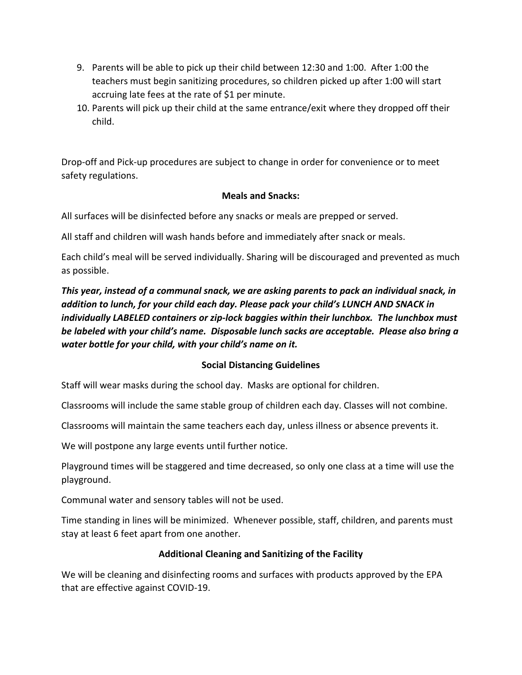- 9. Parents will be able to pick up their child between 12:30 and 1:00. After 1:00 the teachers must begin sanitizing procedures, so children picked up after 1:00 will start accruing late fees at the rate of \$1 per minute.
- 10. Parents will pick up their child at the same entrance/exit where they dropped off their child.

Drop-off and Pick-up procedures are subject to change in order for convenience or to meet safety regulations.

#### **Meals and Snacks:**

All surfaces will be disinfected before any snacks or meals are prepped or served.

All staff and children will wash hands before and immediately after snack or meals.

Each child's meal will be served individually. Sharing will be discouraged and prevented as much as possible.

*This year, instead of a communal snack, we are asking parents to pack an individual snack, in addition to lunch, for your child each day. Please pack your child's LUNCH AND SNACK in individually LABELED containers or zip-lock baggies within their lunchbox. The lunchbox must be labeled with your child's name. Disposable lunch sacks are acceptable. Please also bring a water bottle for your child, with your child's name on it.*

### **Social Distancing Guidelines**

Staff will wear masks during the school day. Masks are optional for children.

Classrooms will include the same stable group of children each day. Classes will not combine.

Classrooms will maintain the same teachers each day, unless illness or absence prevents it.

We will postpone any large events until further notice.

Playground times will be staggered and time decreased, so only one class at a time will use the playground.

Communal water and sensory tables will not be used.

Time standing in lines will be minimized. Whenever possible, staff, children, and parents must stay at least 6 feet apart from one another.

### **Additional Cleaning and Sanitizing of the Facility**

We will be cleaning and disinfecting rooms and surfaces with products approved by the EPA that are effective against COVID-19.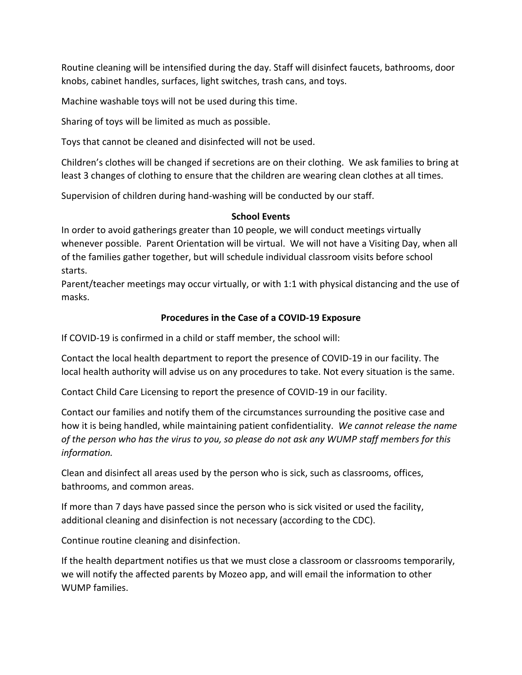Routine cleaning will be intensified during the day. Staff will disinfect faucets, bathrooms, door knobs, cabinet handles, surfaces, light switches, trash cans, and toys.

Machine washable toys will not be used during this time.

Sharing of toys will be limited as much as possible.

Toys that cannot be cleaned and disinfected will not be used.

Children's clothes will be changed if secretions are on their clothing. We ask families to bring at least 3 changes of clothing to ensure that the children are wearing clean clothes at all times.

Supervision of children during hand-washing will be conducted by our staff.

### **School Events**

In order to avoid gatherings greater than 10 people, we will conduct meetings virtually whenever possible. Parent Orientation will be virtual. We will not have a Visiting Day, when all of the families gather together, but will schedule individual classroom visits before school starts.

Parent/teacher meetings may occur virtually, or with 1:1 with physical distancing and the use of masks.

### **Procedures in the Case of a COVID-19 Exposure**

If COVID-19 is confirmed in a child or staff member, the school will:

Contact the local health department to report the presence of COVID-19 in our facility. The local health authority will advise us on any procedures to take. Not every situation is the same.

Contact Child Care Licensing to report the presence of COVID-19 in our facility.

Contact our families and notify them of the circumstances surrounding the positive case and how it is being handled, while maintaining patient confidentiality. *We cannot release the name of the person who has the virus to you, so please do not ask any WUMP staff members for this information.*

Clean and disinfect all areas used by the person who is sick, such as classrooms, offices, bathrooms, and common areas.

If more than 7 days have passed since the person who is sick visited or used the facility, additional cleaning and disinfection is not necessary (according to the CDC).

Continue routine cleaning and disinfection.

If the health department notifies us that we must close a classroom or classrooms temporarily, we will notify the affected parents by Mozeo app, and will email the information to other WUMP families.